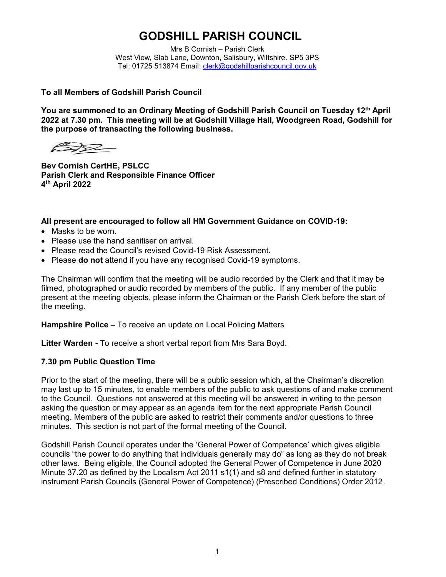# **GODSHILL PARISH COUNCIL**

Mrs B Cornish – Parish Clerk West View, Slab Lane, Downton, Salisbury, Wiltshire. SP5 3PS Tel: 01725 513874 Email: [clerk@godshillparishcouncil.gov.uk](mailto:clerk@godshillparishcouncil.gov.uk)

#### **To all Members of Godshill Parish Council**

**You are summoned to an Ordinary Meeting of Godshill Parish Council on Tuesday 12 th April 2022 at 7.30 pm. This meeting will be at Godshill Village Hall, Woodgreen Road, Godshill for the purpose of transacting the following business.**

 $\gg$ 

**Bev Cornish CertHE, PSLCC Parish Clerk and Responsible Finance Officer 4 th April 2022**

#### **All present are encouraged to follow all HM Government Guidance on COVID-19:**

- Masks to be worn.
- Please use the hand sanitiser on arrival.
- Please read the Council's revised Covid-19 Risk Assessment.
- Please **do not** attend if you have any recognised Covid-19 symptoms.

The Chairman will confirm that the meeting will be audio recorded by the Clerk and that it may be filmed, photographed or audio recorded by members of the public. If any member of the public present at the meeting objects, please inform the Chairman or the Parish Clerk before the start of the meeting.

**Hampshire Police –** To receive an update on Local Policing Matters

**Litter Warden -** To receive a short verbal report from Mrs Sara Boyd.

## **7.30 pm Public Question Time**

Prior to the start of the meeting, there will be a public session which, at the Chairman's discretion may last up to 15 minutes, to enable members of the public to ask questions of and make comment to the Council. Questions not answered at this meeting will be answered in writing to the person asking the question or may appear as an agenda item for the next appropriate Parish Council meeting. Members of the public are asked to restrict their comments and/or questions to three minutes. This section is not part of the formal meeting of the Council.

Godshill Parish Council operates under the 'General Power of Competence' which gives eligible councils "the power to do anything that individuals generally may do" as long as they do not break other laws. Being eligible, the Council adopted the General Power of Competence in June 2020 Minute 37.20 as defined by the Localism Act 2011 s1(1) and s8 and defined further in statutory instrument Parish Councils (General Power of Competence) (Prescribed Conditions) Order 2012.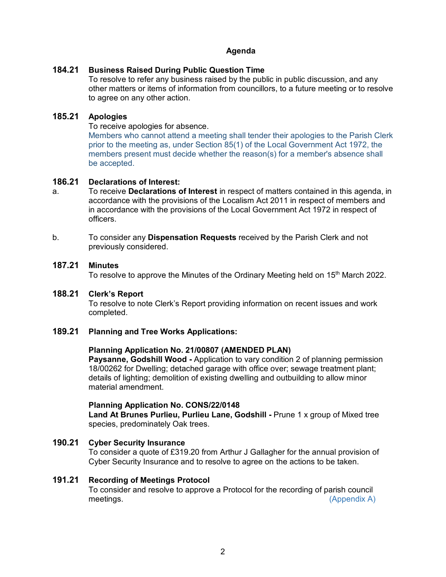## **Agenda**

## **184.21 Business Raised During Public Question Time**

To resolve to refer any business raised by the public in public discussion, and any other matters or items of information from councillors, to a future meeting or to resolve to agree on any other action.

#### **185.21 Apologies**

To receive apologies for absence.

Members who cannot attend a meeting shall tender their apologies to the Parish Clerk prior to the meeting as, under Section 85(1) of the Local Government Act 1972, the members present must decide whether the reason(s) for a member's absence shall be accepted.

## **186.21 Declarations of Interest:**

- a. To receive **Declarations of Interest** in respect of matters contained in this agenda, in accordance with the provisions of the Localism Act 2011 in respect of members and in accordance with the provisions of the Local Government Act 1972 in respect of officers.
- b. To consider any **Dispensation Requests** received by the Parish Clerk and not previously considered.

## **187.21 Minutes**

To resolve to approve the Minutes of the Ordinary Meeting held on 15<sup>th</sup> March 2022.

#### **188.21 Clerk's Report**

To resolve to note Clerk's Report providing information on recent issues and work completed.

#### **189.21 Planning and Tree Works Applications:**

#### **Planning Application No. 21/00807 (AMENDED PLAN)**

**Paysanne, Godshill Wood -** Application to vary condition 2 of planning permission 18/00262 for Dwelling; detached garage with office over; sewage treatment plant; details of lighting; demolition of existing dwelling and outbuilding to allow minor material amendment.

#### **Planning Application No. CONS/22/0148**

**Land At Brunes Purlieu, Purlieu Lane, Godshill -** Prune 1 x group of Mixed tree species, predominately Oak trees.

# **190.21 Cyber Security Insurance**

To consider a quote of £319.20 from Arthur J Gallagher for the annual provision of Cyber Security Insurance and to resolve to agree on the actions to be taken.

#### **191.21 Recording of Meetings Protocol**

To consider and resolve to approve a Protocol for the recording of parish council meetings. (Appendix A)